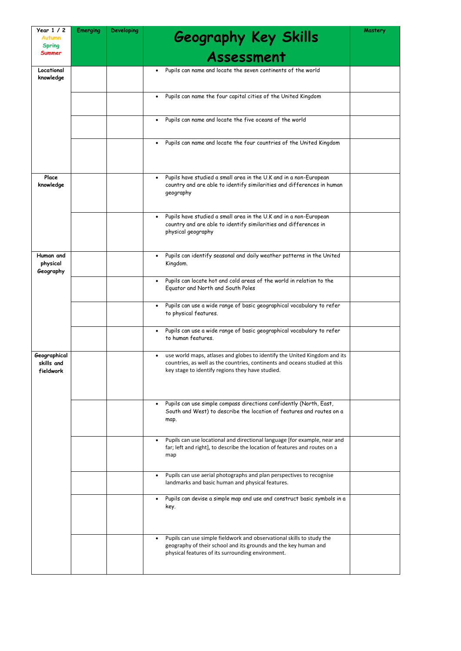| Year 1 / 2<br>Autumn<br><b>Spring</b>   | <b>Emerging</b> | <b>Developing</b> | <b>Geography Key Skills</b>                                                                                                                                                                                              | Mastery |
|-----------------------------------------|-----------------|-------------------|--------------------------------------------------------------------------------------------------------------------------------------------------------------------------------------------------------------------------|---------|
| Summer                                  |                 |                   | Assessment                                                                                                                                                                                                               |         |
| Locational<br>knowledge                 |                 |                   | Pupils can name and locate the seven continents of the world<br>$\bullet$                                                                                                                                                |         |
|                                         |                 |                   | Pupils can name the four capital cities of the United Kingdom<br>$\bullet$                                                                                                                                               |         |
|                                         |                 |                   | Pupils can name and locate the five oceans of the world<br>$\bullet$                                                                                                                                                     |         |
|                                         |                 |                   | Pupils can name and locate the four countries of the United Kingdom<br>$\bullet$                                                                                                                                         |         |
| Place<br>knowledge                      |                 |                   | Pupils have studied a small area in the U.K and in a non-European<br>$\bullet$<br>country and are able to identify similarities and differences in human<br>geography                                                    |         |
|                                         |                 |                   | Pupils have studied a small area in the U.K and in a non-European<br>$\bullet$<br>country and are able to identify similarities and differences in<br>physical geography                                                 |         |
| Human and<br>physical<br>Geography      |                 |                   | Pupils can identify seasonal and daily weather patterns in the United<br>$\bullet$<br>Kingdom.                                                                                                                           |         |
|                                         |                 |                   | Pupils can locate hot and cold areas of the world in relation to the<br>$\bullet$<br>Equator and North and South Poles                                                                                                   |         |
|                                         |                 |                   | Pupils can use a wide range of basic geographical vocabulary to refer<br>$\bullet$<br>to physical features.                                                                                                              |         |
|                                         |                 |                   | Pupils can use a wide range of basic geographical vocabulary to refer<br>$\bullet$<br>to human features.                                                                                                                 |         |
| Geographical<br>skills and<br>fieldwork |                 |                   | use world maps, atlases and globes to identify the United Kingdom and its<br>$\bullet$<br>countries, as well as the countries, continents and oceans studied at this<br>key stage to identify regions they have studied. |         |
|                                         |                 |                   | Pupils can use simple compass directions confidently (North, East,<br>$\bullet$<br>South and West) to describe the location of features and routes on a<br>map.                                                          |         |
|                                         |                 |                   | Pupils can use locational and directional language [for example, near and<br>$\bullet$<br>far; left and right], to describe the location of features and routes on a<br>map                                              |         |
|                                         |                 |                   | Pupils can use aerial photographs and plan perspectives to recognise<br>$\bullet$<br>landmarks and basic human and physical features.                                                                                    |         |
|                                         |                 |                   | Pupils can devise a simple map and use and construct basic symbols in a<br>$\bullet$<br>key.                                                                                                                             |         |
|                                         |                 |                   | Pupils can use simple fieldwork and observational skills to study the<br>$\bullet$<br>geography of their school and its grounds and the key human and<br>physical features of its surrounding environment.               |         |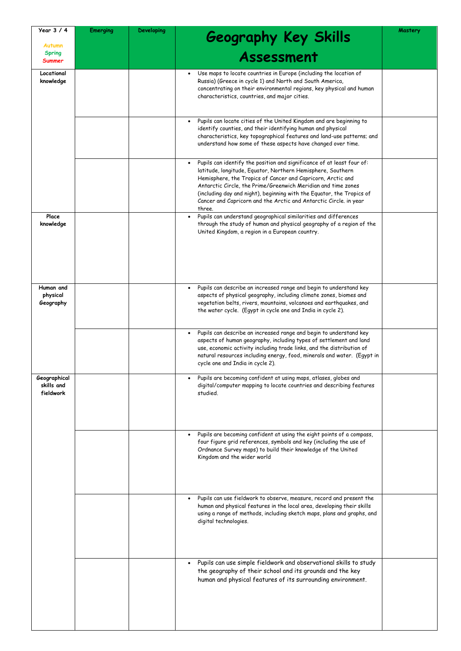| Year $3/4$<br><b>Autumn</b>             | <b>Emerging</b> | <b>Developing</b> | Geography Key Skills                                                                                                                                                                                                                                                                                                                                                                                                                                                                                                                                                                                                        | Mastery |
|-----------------------------------------|-----------------|-------------------|-----------------------------------------------------------------------------------------------------------------------------------------------------------------------------------------------------------------------------------------------------------------------------------------------------------------------------------------------------------------------------------------------------------------------------------------------------------------------------------------------------------------------------------------------------------------------------------------------------------------------------|---------|
| <b>Spring</b><br>Summer                 |                 |                   | Assessment                                                                                                                                                                                                                                                                                                                                                                                                                                                                                                                                                                                                                  |         |
| Locational<br>knowledge                 |                 |                   | Use maps to locate countries in Europe (including the location of<br>Russia) (Greece in cycle 1) and North and South America,<br>concentrating on their environmental regions, key physical and human<br>characteristics, countries, and major cities.                                                                                                                                                                                                                                                                                                                                                                      |         |
|                                         |                 |                   | Pupils can locate cities of the United Kingdom and are beginning to<br>identify counties, and their identifying human and physical<br>characteristics, key topographical features and land-use patterns; and<br>understand how some of these aspects have changed over time.                                                                                                                                                                                                                                                                                                                                                |         |
| Place<br>knowledge                      |                 |                   | Pupils can identify the position and significance of at least four of:<br>latitude, longitude, Equator, Northern Hemisphere, Southern<br>Hemisphere, the Tropics of Cancer and Capricorn, Arctic and<br>Antarctic Circle, the Prime/Greenwich Meridian and time zones<br>(including day and night), beginning with the Equator, the Tropics of<br>Cancer and Capricorn and the Arctic and Antarctic Circle. in year<br>three.<br>Pupils can understand geographical similarities and differences<br>through the study of human and physical geography of a region of the<br>United Kingdom, a region in a European country. |         |
| Human and<br>physical<br>Geography      |                 |                   | Pupils can describe an increased range and begin to understand key<br>aspects of physical geography, including climate zones, biomes and<br>vegetation belts, rivers, mountains, volcanoes and earthquakes, and<br>the water cycle. (Egypt in cycle one and India in cycle 2).<br>Pupils can describe an increased range and begin to understand key<br>aspects of human geography, including types of settlement and land                                                                                                                                                                                                  |         |
|                                         |                 |                   | use, economic activity including trade links, and the distribution of<br>natural resources including energy, food, minerals and water. (Egypt in<br>cycle one and India in cycle 2).                                                                                                                                                                                                                                                                                                                                                                                                                                        |         |
| Geographical<br>skills and<br>fieldwork |                 |                   | Pupils are becoming confident at using maps, atlases, globes and<br>digital/computer mapping to locate countries and describing features<br>studied.                                                                                                                                                                                                                                                                                                                                                                                                                                                                        |         |
|                                         |                 |                   | Pupils are becoming confident at using the eight points of a compass,<br>$\bullet$<br>four figure grid references, symbols and key (including the use of<br>Ordnance Survey maps) to build their knowledge of the United<br>Kingdom and the wider world                                                                                                                                                                                                                                                                                                                                                                     |         |
|                                         |                 |                   | Pupils can use fieldwork to observe, measure, record and present the<br>$\bullet$<br>human and physical features in the local area, developing their skills<br>using a range of methods, including sketch maps, plans and graphs, and<br>digital technologies.                                                                                                                                                                                                                                                                                                                                                              |         |
|                                         |                 |                   | Pupils can use simple fieldwork and observational skills to study<br>the geography of their school and its grounds and the key<br>human and physical features of its surrounding environment.                                                                                                                                                                                                                                                                                                                                                                                                                               |         |